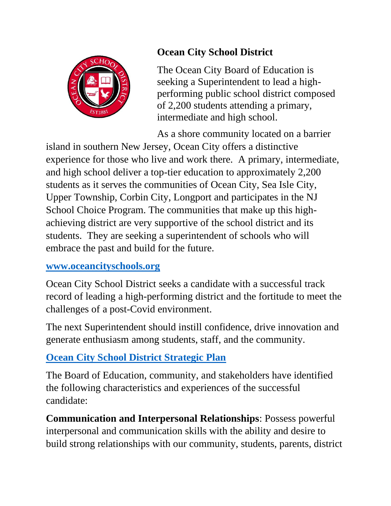

## **Ocean City School District**

The Ocean City Board of Education is seeking a Superintendent to lead a highperforming public school district composed of 2,200 students attending a primary, intermediate and high school.

As a shore community located on a barrier

island in southern New Jersey, Ocean City offers a distinctive experience for those who live and work there. A primary, intermediate, and high school deliver a top-tier education to approximately 2,200 students as it serves the communities of Ocean City, Sea Isle City, Upper Township, Corbin City, Longport and participates in the NJ School Choice Program. The communities that make up this highachieving district are very supportive of the school district and its students. They are seeking a superintendent of schools who will embrace the past and build for the future.

## **[www.oceancityschools.org](http://www.oceancityschools.org/)**

Ocean City School District seeks a candidate with a successful track record of leading a high-performing district and the fortitude to meet the challenges of a post-Covid environment.

The next Superintendent should instill confidence, drive innovation and generate enthusiasm among students, staff, and the community.

## **[Ocean City School District Strategic Plan](https://oceancityschools.org/uploads/1644930450St%20Plan%20Presentation%208-28-19.pdf)**

The Board of Education, community, and stakeholders have identified the following characteristics and experiences of the successful candidate:

**Communication and Interpersonal Relationships**: Possess powerful interpersonal and communication skills with the ability and desire to build strong relationships with our community, students, parents, district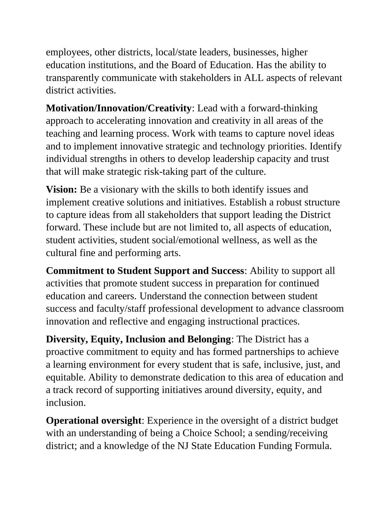employees, other districts, local/state leaders, businesses, higher education institutions, and the Board of Education. Has the ability to transparently communicate with stakeholders in ALL aspects of relevant district activities.

**Motivation/Innovation/Creativity**: Lead with a forward-thinking approach to accelerating innovation and creativity in all areas of the teaching and learning process. Work with teams to capture novel ideas and to implement innovative strategic and technology priorities. Identify individual strengths in others to develop leadership capacity and trust that will make strategic risk-taking part of the culture.

**Vision:** Be a visionary with the skills to both identify issues and implement creative solutions and initiatives. Establish a robust structure to capture ideas from all stakeholders that support leading the District forward. These include but are not limited to, all aspects of education, student activities, student social/emotional wellness, as well as the cultural fine and performing arts.

**Commitment to Student Support and Success**: Ability to support all activities that promote student success in preparation for continued education and careers. Understand the connection between student success and faculty/staff professional development to advance classroom innovation and reflective and engaging instructional practices.

**Diversity, Equity, Inclusion and Belonging**: The District has a proactive commitment to equity and has formed partnerships to achieve a learning environment for every student that is safe, inclusive, just, and equitable. Ability to demonstrate dedication to this area of education and a track record of supporting initiatives around diversity, equity, and inclusion.

**Operational oversight**: Experience in the oversight of a district budget with an understanding of being a Choice School; a sending/receiving district; and a knowledge of the NJ State Education Funding Formula.